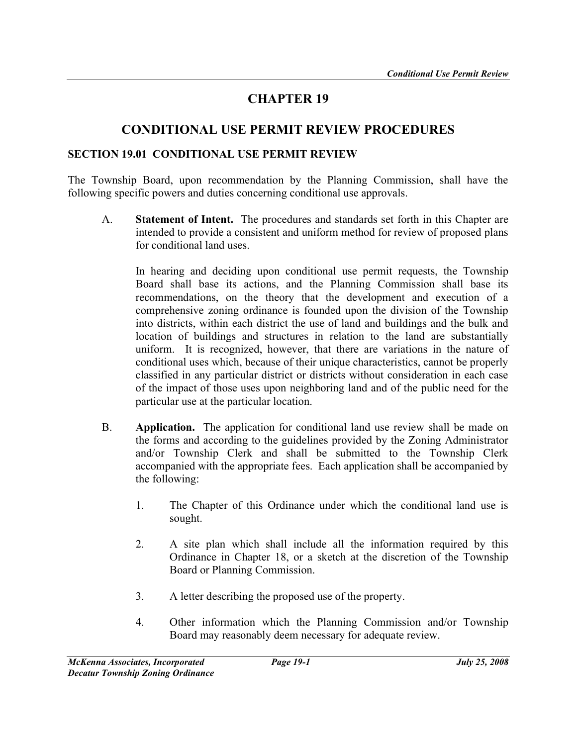# CHAPTER 19

# CONDITIONAL USE PERMIT REVIEW PROCEDURES

#### SECTION 19.01 CONDITIONAL USE PERMIT REVIEW

The Township Board, upon recommendation by the Planning Commission, shall have the following specific powers and duties concerning conditional use approvals.

 A. Statement of Intent. The procedures and standards set forth in this Chapter are intended to provide a consistent and uniform method for review of proposed plans for conditional land uses.

In hearing and deciding upon conditional use permit requests, the Township Board shall base its actions, and the Planning Commission shall base its recommendations, on the theory that the development and execution of a comprehensive zoning ordinance is founded upon the division of the Township into districts, within each district the use of land and buildings and the bulk and location of buildings and structures in relation to the land are substantially uniform. It is recognized, however, that there are variations in the nature of conditional uses which, because of their unique characteristics, cannot be properly classified in any particular district or districts without consideration in each case of the impact of those uses upon neighboring land and of the public need for the particular use at the particular location.

- B. Application. The application for conditional land use review shall be made on the forms and according to the guidelines provided by the Zoning Administrator and/or Township Clerk and shall be submitted to the Township Clerk accompanied with the appropriate fees. Each application shall be accompanied by the following:
	- 1. The Chapter of this Ordinance under which the conditional land use is sought.
	- 2. A site plan which shall include all the information required by this Ordinance in Chapter 18, or a sketch at the discretion of the Township Board or Planning Commission.
	- 3. A letter describing the proposed use of the property.
	- 4. Other information which the Planning Commission and/or Township Board may reasonably deem necessary for adequate review.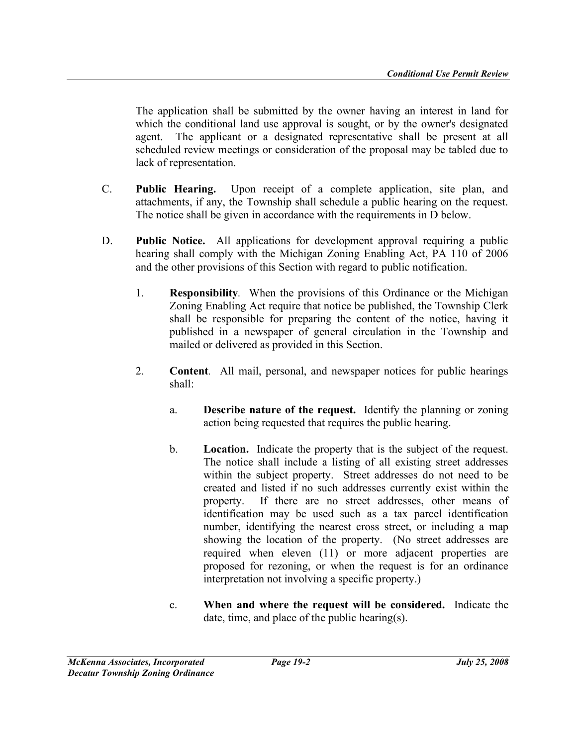The application shall be submitted by the owner having an interest in land for which the conditional land use approval is sought, or by the owner's designated agent. The applicant or a designated representative shall be present at all scheduled review meetings or consideration of the proposal may be tabled due to lack of representation.

- C. Public Hearing. Upon receipt of a complete application, site plan, and attachments, if any, the Township shall schedule a public hearing on the request. The notice shall be given in accordance with the requirements in D below.
- D. Public Notice. All applications for development approval requiring a public hearing shall comply with the Michigan Zoning Enabling Act, PA 110 of 2006 and the other provisions of this Section with regard to public notification.
	- 1. Responsibility. When the provisions of this Ordinance or the Michigan Zoning Enabling Act require that notice be published, the Township Clerk shall be responsible for preparing the content of the notice, having it published in a newspaper of general circulation in the Township and mailed or delivered as provided in this Section.
	- 2. Content. All mail, personal, and newspaper notices for public hearings shall:
		- a. Describe nature of the request. Identify the planning or zoning action being requested that requires the public hearing.
		- b. Location. Indicate the property that is the subject of the request. The notice shall include a listing of all existing street addresses within the subject property. Street addresses do not need to be created and listed if no such addresses currently exist within the property. If there are no street addresses, other means of identification may be used such as a tax parcel identification number, identifying the nearest cross street, or including a map showing the location of the property. (No street addresses are required when eleven (11) or more adjacent properties are proposed for rezoning, or when the request is for an ordinance interpretation not involving a specific property.)
		- c. When and where the request will be considered. Indicate the date, time, and place of the public hearing(s).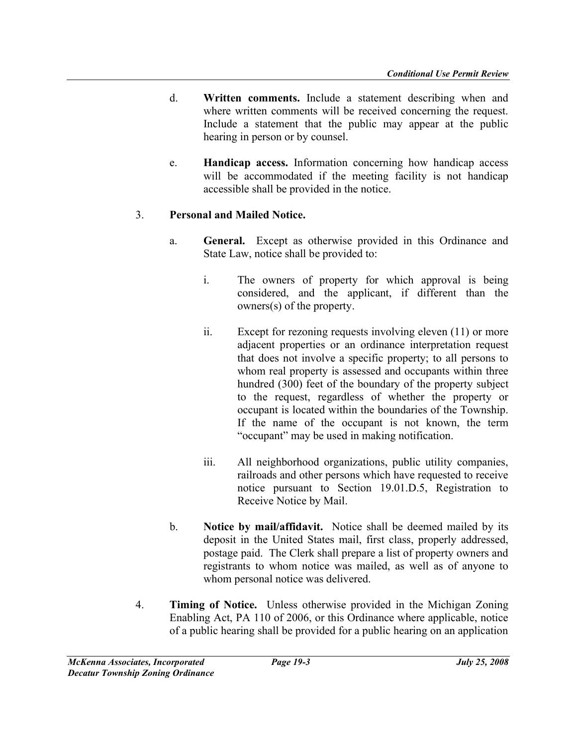- d. Written comments. Include a statement describing when and where written comments will be received concerning the request. Include a statement that the public may appear at the public hearing in person or by counsel.
- e. Handicap access. Information concerning how handicap access will be accommodated if the meeting facility is not handicap accessible shall be provided in the notice.

### 3. Personal and Mailed Notice.

- a. General. Except as otherwise provided in this Ordinance and State Law, notice shall be provided to:
	- i. The owners of property for which approval is being considered, and the applicant, if different than the owners(s) of the property.
	- ii. Except for rezoning requests involving eleven (11) or more adjacent properties or an ordinance interpretation request that does not involve a specific property; to all persons to whom real property is assessed and occupants within three hundred (300) feet of the boundary of the property subject to the request, regardless of whether the property or occupant is located within the boundaries of the Township. If the name of the occupant is not known, the term "occupant" may be used in making notification.
	- iii. All neighborhood organizations, public utility companies, railroads and other persons which have requested to receive notice pursuant to Section 19.01.D.5, Registration to Receive Notice by Mail.
- b. Notice by mail/affidavit. Notice shall be deemed mailed by its deposit in the United States mail, first class, properly addressed, postage paid. The Clerk shall prepare a list of property owners and registrants to whom notice was mailed, as well as of anyone to whom personal notice was delivered.
- 4. Timing of Notice. Unless otherwise provided in the Michigan Zoning Enabling Act, PA 110 of 2006, or this Ordinance where applicable, notice of a public hearing shall be provided for a public hearing on an application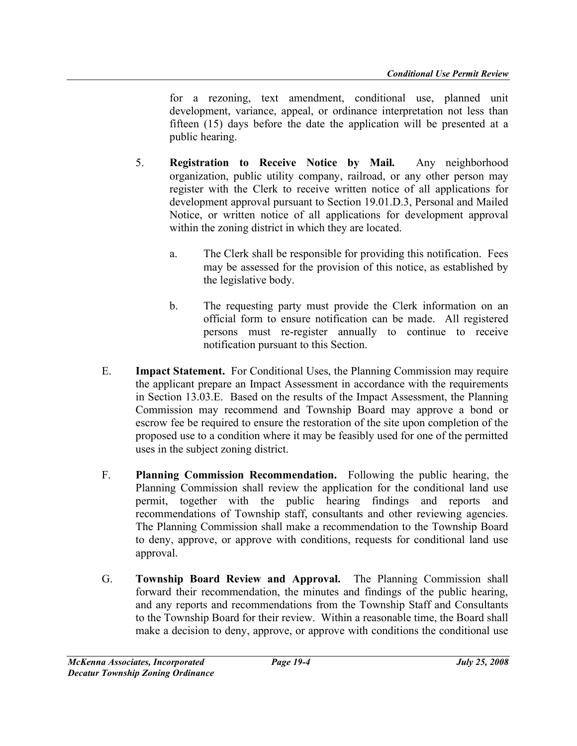for a rezoning, text amendment, conditional use, planned unit development, variance, appeal, or ordinance interpretation not less than fifteen (15) days before the date the application will be presented at a public hearing.

- 5. Registration to Receive Notice by Mail. Any neighborhood organization, public utility company, railroad, or any other person may register with the Clerk to receive written notice of all applications for development approval pursuant to Section 19.01.D.3, Personal and Mailed Notice, or written notice of all applications for development approval within the zoning district in which they are located.
	- a. The Clerk shall be responsible for providing this notification. Fees may be assessed for the provision of this notice, as established by the legislative body.
	- b. The requesting party must provide the Clerk information on an official form to ensure notification can be made. All registered persons must re-register annually to continue to receive notification pursuant to this Section.
- E. Impact Statement. For Conditional Uses, the Planning Commission may require the applicant prepare an Impact Assessment in accordance with the requirements in Section 13.03.E. Based on the results of the Impact Assessment, the Planning Commission may recommend and Township Board may approve a bond or escrow fee be required to ensure the restoration of the site upon completion of the proposed use to a condition where it may be feasibly used for one of the permitted uses in the subject zoning district.
- F. Planning Commission Recommendation. Following the public hearing, the Planning Commission shall review the application for the conditional land use permit, together with the public hearing findings and reports and recommendations of Township staff, consultants and other reviewing agencies. The Planning Commission shall make a recommendation to the Township Board to deny, approve, or approve with conditions, requests for conditional land use approval.
- G. Township Board Review and Approval. The Planning Commission shall forward their recommendation, the minutes and findings of the public hearing, and any reports and recommendations from the Township Staff and Consultants to the Township Board for their review. Within a reasonable time, the Board shall make a decision to deny, approve, or approve with conditions the conditional use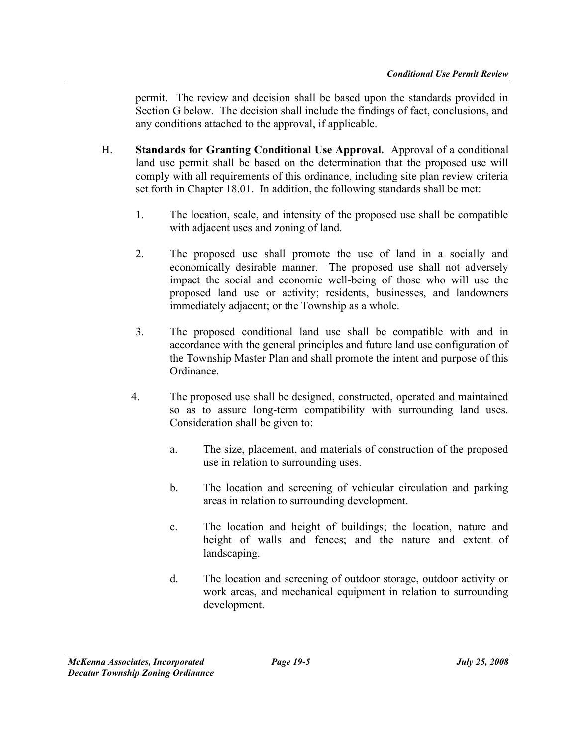permit. The review and decision shall be based upon the standards provided in Section G below. The decision shall include the findings of fact, conclusions, and any conditions attached to the approval, if applicable.

- H. Standards for Granting Conditional Use Approval. Approval of a conditional land use permit shall be based on the determination that the proposed use will comply with all requirements of this ordinance, including site plan review criteria set forth in Chapter 18.01. In addition, the following standards shall be met:
	- 1. The location, scale, and intensity of the proposed use shall be compatible with adjacent uses and zoning of land.
	- 2. The proposed use shall promote the use of land in a socially and economically desirable manner. The proposed use shall not adversely impact the social and economic well-being of those who will use the proposed land use or activity; residents, businesses, and landowners immediately adjacent; or the Township as a whole.
	- 3. The proposed conditional land use shall be compatible with and in accordance with the general principles and future land use configuration of the Township Master Plan and shall promote the intent and purpose of this Ordinance.
	- 4. The proposed use shall be designed, constructed, operated and maintained so as to assure long-term compatibility with surrounding land uses. Consideration shall be given to:
		- a. The size, placement, and materials of construction of the proposed use in relation to surrounding uses.
		- b. The location and screening of vehicular circulation and parking areas in relation to surrounding development.
		- c. The location and height of buildings; the location, nature and height of walls and fences; and the nature and extent of landscaping.
		- d. The location and screening of outdoor storage, outdoor activity or work areas, and mechanical equipment in relation to surrounding development.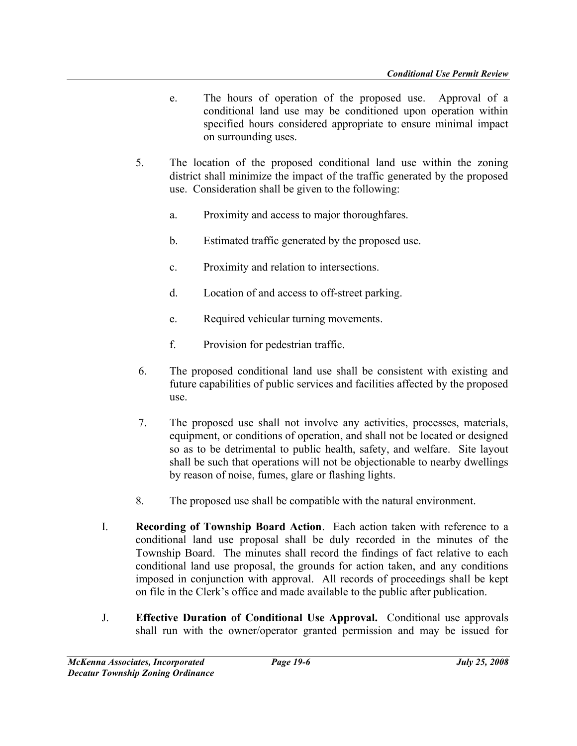- e. The hours of operation of the proposed use. Approval of a conditional land use may be conditioned upon operation within specified hours considered appropriate to ensure minimal impact on surrounding uses.
- 5. The location of the proposed conditional land use within the zoning district shall minimize the impact of the traffic generated by the proposed use. Consideration shall be given to the following:
	- a. Proximity and access to major thoroughfares.
	- b. Estimated traffic generated by the proposed use.
	- c. Proximity and relation to intersections.
	- d. Location of and access to off-street parking.
	- e. Required vehicular turning movements.
	- f. Provision for pedestrian traffic.
- 6. The proposed conditional land use shall be consistent with existing and future capabilities of public services and facilities affected by the proposed use.
- 7. The proposed use shall not involve any activities, processes, materials, equipment, or conditions of operation, and shall not be located or designed so as to be detrimental to public health, safety, and welfare. Site layout shall be such that operations will not be objectionable to nearby dwellings by reason of noise, fumes, glare or flashing lights.
- 8. The proposed use shall be compatible with the natural environment.
- I. Recording of Township Board Action. Each action taken with reference to a conditional land use proposal shall be duly recorded in the minutes of the Township Board. The minutes shall record the findings of fact relative to each conditional land use proposal, the grounds for action taken, and any conditions imposed in conjunction with approval. All records of proceedings shall be kept on file in the Clerk's office and made available to the public after publication.
- J. Effective Duration of Conditional Use Approval. Conditional use approvals shall run with the owner/operator granted permission and may be issued for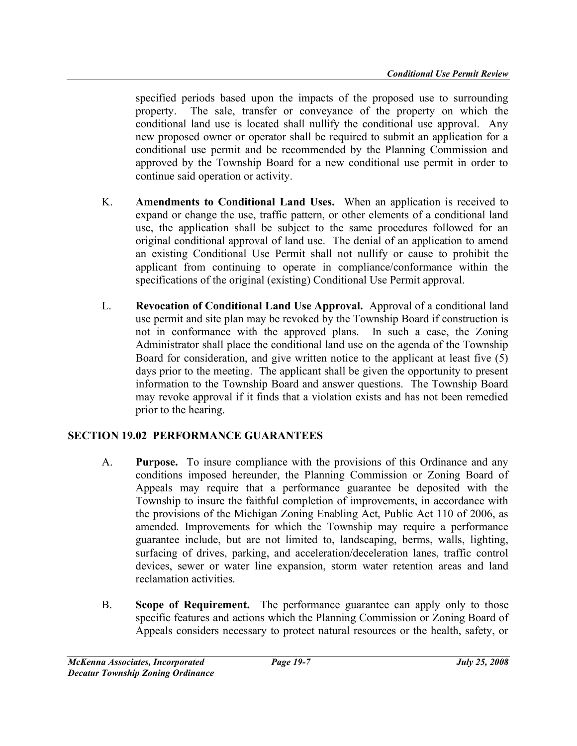specified periods based upon the impacts of the proposed use to surrounding property. The sale, transfer or conveyance of the property on which the conditional land use is located shall nullify the conditional use approval. Any new proposed owner or operator shall be required to submit an application for a conditional use permit and be recommended by the Planning Commission and approved by the Township Board for a new conditional use permit in order to continue said operation or activity.

- K. Amendments to Conditional Land Uses. When an application is received to expand or change the use, traffic pattern, or other elements of a conditional land use, the application shall be subject to the same procedures followed for an original conditional approval of land use. The denial of an application to amend an existing Conditional Use Permit shall not nullify or cause to prohibit the applicant from continuing to operate in compliance/conformance within the specifications of the original (existing) Conditional Use Permit approval.
- L. Revocation of Conditional Land Use Approval. Approval of a conditional land use permit and site plan may be revoked by the Township Board if construction is not in conformance with the approved plans. In such a case, the Zoning Administrator shall place the conditional land use on the agenda of the Township Board for consideration, and give written notice to the applicant at least five (5) days prior to the meeting. The applicant shall be given the opportunity to present information to the Township Board and answer questions. The Township Board may revoke approval if it finds that a violation exists and has not been remedied prior to the hearing.

## SECTION 19.02 PERFORMANCE GUARANTEES

- A. Purpose. To insure compliance with the provisions of this Ordinance and any conditions imposed hereunder, the Planning Commission or Zoning Board of Appeals may require that a performance guarantee be deposited with the Township to insure the faithful completion of improvements, in accordance with the provisions of the Michigan Zoning Enabling Act, Public Act 110 of 2006, as amended. Improvements for which the Township may require a performance guarantee include, but are not limited to, landscaping, berms, walls, lighting, surfacing of drives, parking, and acceleration/deceleration lanes, traffic control devices, sewer or water line expansion, storm water retention areas and land reclamation activities.
- B. Scope of Requirement. The performance guarantee can apply only to those specific features and actions which the Planning Commission or Zoning Board of Appeals considers necessary to protect natural resources or the health, safety, or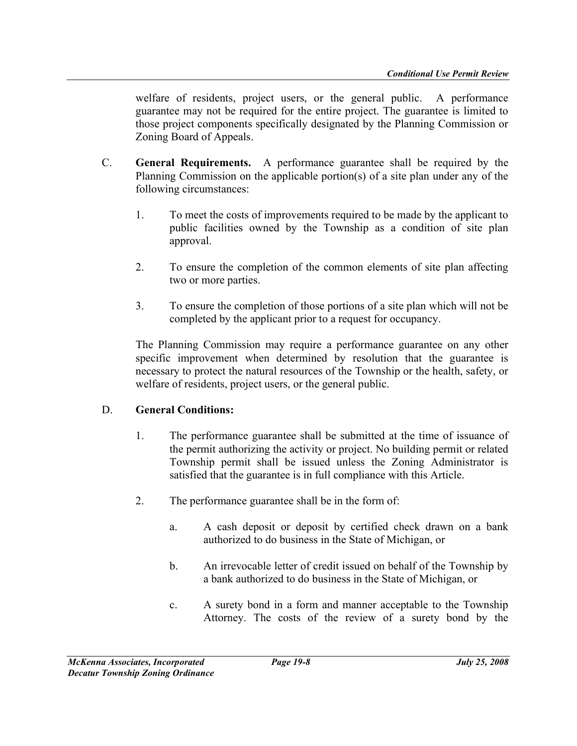welfare of residents, project users, or the general public. A performance guarantee may not be required for the entire project. The guarantee is limited to those project components specifically designated by the Planning Commission or Zoning Board of Appeals.

- C. General Requirements. A performance guarantee shall be required by the Planning Commission on the applicable portion(s) of a site plan under any of the following circumstances:
	- 1. To meet the costs of improvements required to be made by the applicant to public facilities owned by the Township as a condition of site plan approval.
	- 2. To ensure the completion of the common elements of site plan affecting two or more parties.
	- 3. To ensure the completion of those portions of a site plan which will not be completed by the applicant prior to a request for occupancy.

 The Planning Commission may require a performance guarantee on any other specific improvement when determined by resolution that the guarantee is necessary to protect the natural resources of the Township or the health, safety, or welfare of residents, project users, or the general public.

## D. General Conditions:

- 1. The performance guarantee shall be submitted at the time of issuance of the permit authorizing the activity or project. No building permit or related Township permit shall be issued unless the Zoning Administrator is satisfied that the guarantee is in full compliance with this Article.
- 2. The performance guarantee shall be in the form of:
	- a. A cash deposit or deposit by certified check drawn on a bank authorized to do business in the State of Michigan, or
	- b. An irrevocable letter of credit issued on behalf of the Township by a bank authorized to do business in the State of Michigan, or
	- c. A surety bond in a form and manner acceptable to the Township Attorney. The costs of the review of a surety bond by the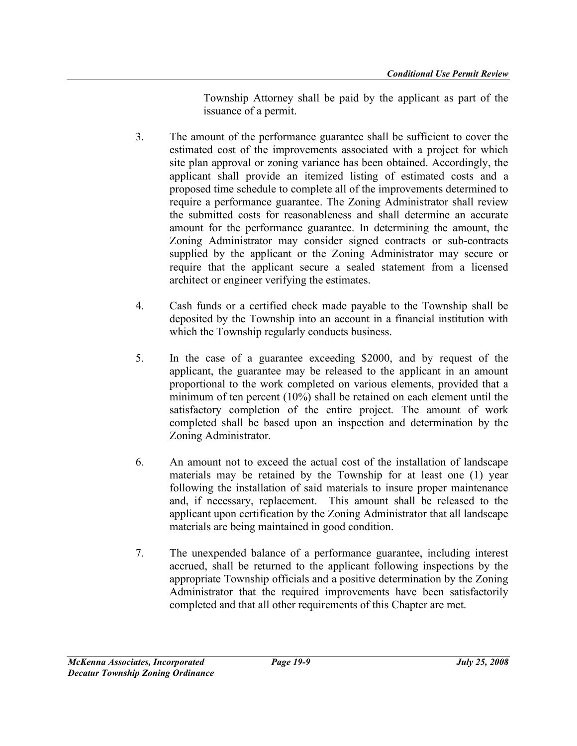Township Attorney shall be paid by the applicant as part of the issuance of a permit.

- 3. The amount of the performance guarantee shall be sufficient to cover the estimated cost of the improvements associated with a project for which site plan approval or zoning variance has been obtained. Accordingly, the applicant shall provide an itemized listing of estimated costs and a proposed time schedule to complete all of the improvements determined to require a performance guarantee. The Zoning Administrator shall review the submitted costs for reasonableness and shall determine an accurate amount for the performance guarantee. In determining the amount, the Zoning Administrator may consider signed contracts or sub-contracts supplied by the applicant or the Zoning Administrator may secure or require that the applicant secure a sealed statement from a licensed architect or engineer verifying the estimates.
- 4. Cash funds or a certified check made payable to the Township shall be deposited by the Township into an account in a financial institution with which the Township regularly conducts business.
- 5. In the case of a guarantee exceeding \$2000, and by request of the applicant, the guarantee may be released to the applicant in an amount proportional to the work completed on various elements, provided that a minimum of ten percent (10%) shall be retained on each element until the satisfactory completion of the entire project. The amount of work completed shall be based upon an inspection and determination by the Zoning Administrator.
- 6. An amount not to exceed the actual cost of the installation of landscape materials may be retained by the Township for at least one (1) year following the installation of said materials to insure proper maintenance and, if necessary, replacement. This amount shall be released to the applicant upon certification by the Zoning Administrator that all landscape materials are being maintained in good condition.
- 7. The unexpended balance of a performance guarantee, including interest accrued, shall be returned to the applicant following inspections by the appropriate Township officials and a positive determination by the Zoning Administrator that the required improvements have been satisfactorily completed and that all other requirements of this Chapter are met.